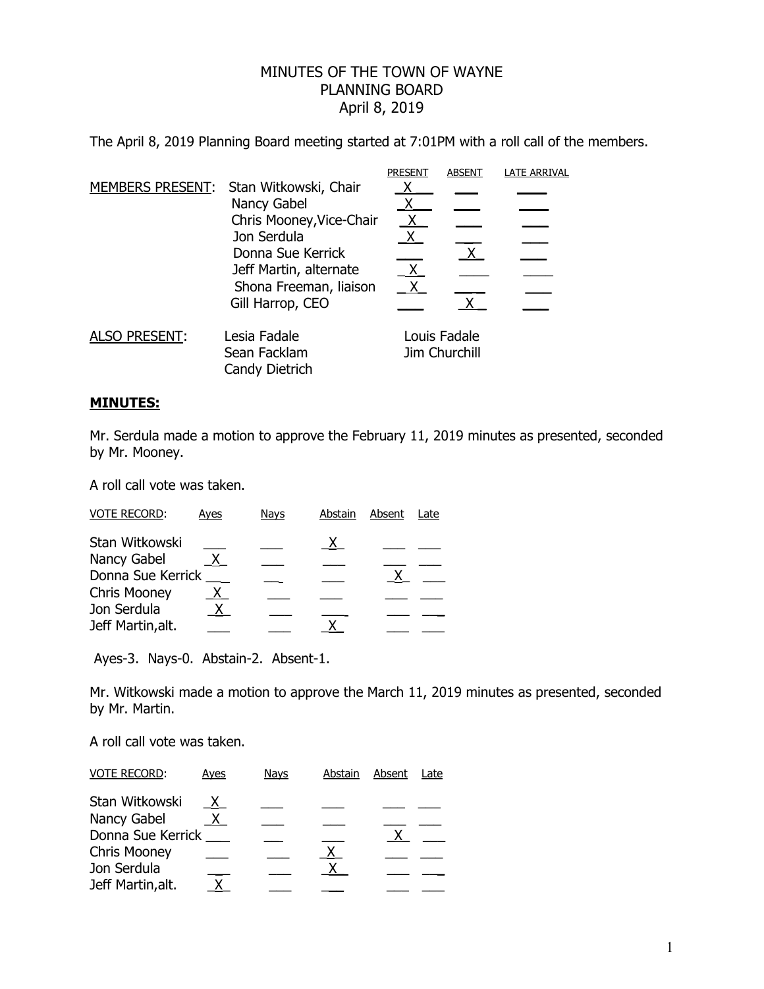## MINUTES OF THE TOWN OF WAYNE PLANNING BOARD April 8, 2019

The April 8, 2019 Planning Board meeting started at 7:01PM with a roll call of the members.

|                      |                                        | <b>PRESENT</b>                | <b>ABSENT</b> | <b>LATE ARRIVAL</b> |
|----------------------|----------------------------------------|-------------------------------|---------------|---------------------|
|                      | MEMBERS PRESENT: Stan Witkowski, Chair |                               |               |                     |
|                      | Nancy Gabel                            |                               |               |                     |
|                      | Chris Mooney, Vice-Chair               | <u>X</u>                      |               |                     |
|                      | Jon Serdula                            | X.                            |               |                     |
|                      | Donna Sue Kerrick                      |                               | X.            |                     |
|                      | Jeff Martin, alternate                 | X.                            |               |                     |
|                      | Shona Freeman, liaison                 |                               |               |                     |
|                      | Gill Harrop, CEO                       |                               |               |                     |
| <b>ALSO PRESENT:</b> | Lesia Fadale                           | Louis Fadale<br>Jim Churchill |               |                     |
|                      | Sean Facklam                           |                               |               |                     |
|                      | Candy Dietrich                         |                               |               |                     |
|                      |                                        |                               |               |                     |

## **MINUTES:**

Mr. Serdula made a motion to approve the February 11, 2019 minutes as presented, seconded by Mr. Mooney.

A roll call vote was taken.

| <b>VOTE RECORD:</b> | Ayes    | Navs | Abstain | Absent | Late |
|---------------------|---------|------|---------|--------|------|
| Stan Witkowski      |         |      |         |        |      |
| Nancy Gabel         | $X_{-}$ |      |         |        |      |
| Donna Sue Kerrick   |         |      |         |        |      |
| <b>Chris Mooney</b> | X.      |      |         |        |      |
| Jon Serdula         |         |      |         |        |      |
| Jeff Martin, alt.   |         |      |         |        |      |

Ayes-3. Nays-0. Abstain-2. Absent-1.

Mr. Witkowski made a motion to approve the March 11, 2019 minutes as presented, seconded by Mr. Martin.

A roll call vote was taken.

| <b>VOTE RECORD:</b> | Ayes     | <b>Nays</b> | Abstain      | Absent | Late |
|---------------------|----------|-------------|--------------|--------|------|
| Stan Witkowski      | X.       |             |              |        |      |
| Nancy Gabel         | <u>X</u> |             |              |        |      |
| Donna Sue Kerrick   |          |             |              |        |      |
| <b>Chris Mooney</b> |          |             | $\mathsf{X}$ |        |      |
| Jon Serdula         |          |             |              |        |      |
| Jeff Martin, alt.   |          |             |              |        |      |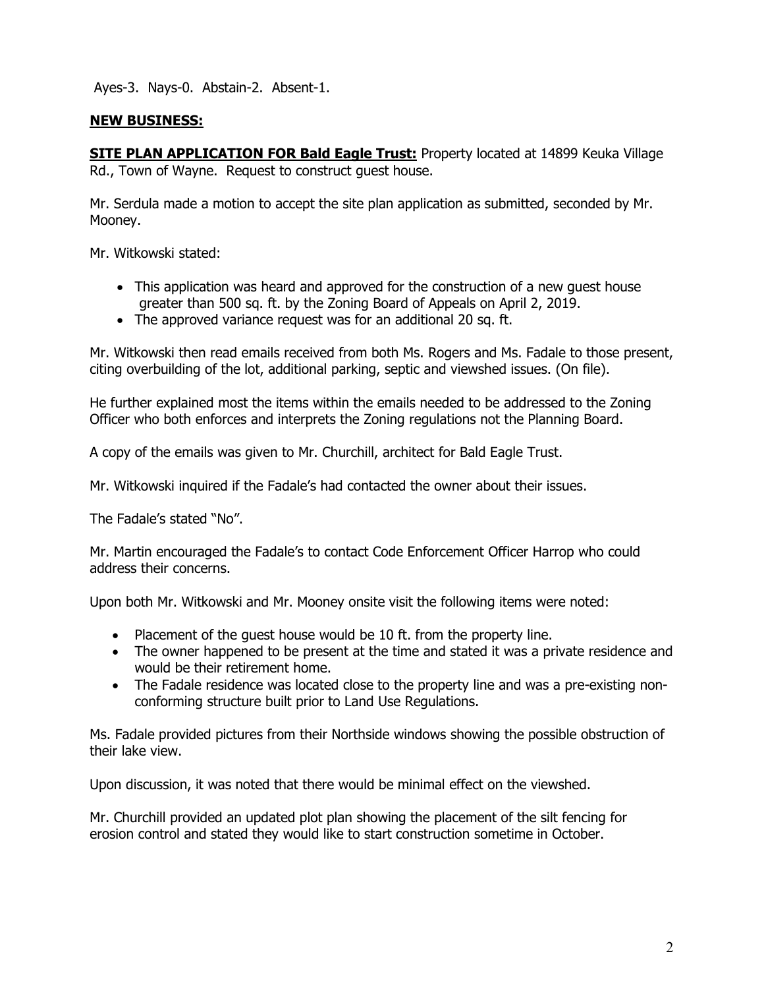Ayes-3. Nays-0. Abstain-2. Absent-1.

## **NEW BUSINESS:**

**SITE PLAN APPLICATION FOR Bald Eagle Trust:** Property located at 14899 Keuka Village Rd., Town of Wayne. Request to construct guest house.

Mr. Serdula made a motion to accept the site plan application as submitted, seconded by Mr. Mooney.

Mr. Witkowski stated:

- This application was heard and approved for the construction of a new guest house greater than 500 sq. ft. by the Zoning Board of Appeals on April 2, 2019.
- The approved variance request was for an additional 20 sq. ft.

Mr. Witkowski then read emails received from both Ms. Rogers and Ms. Fadale to those present, citing overbuilding of the lot, additional parking, septic and viewshed issues. (On file).

He further explained most the items within the emails needed to be addressed to the Zoning Officer who both enforces and interprets the Zoning regulations not the Planning Board.

A copy of the emails was given to Mr. Churchill, architect for Bald Eagle Trust.

Mr. Witkowski inquired if the Fadale's had contacted the owner about their issues.

The Fadale's stated "No".

Mr. Martin encouraged the Fadale's to contact Code Enforcement Officer Harrop who could address their concerns.

Upon both Mr. Witkowski and Mr. Mooney onsite visit the following items were noted:

- Placement of the quest house would be 10 ft. from the property line.
- The owner happened to be present at the time and stated it was a private residence and would be their retirement home.
- The Fadale residence was located close to the property line and was a pre-existing nonconforming structure built prior to Land Use Regulations.

Ms. Fadale provided pictures from their Northside windows showing the possible obstruction of their lake view.

Upon discussion, it was noted that there would be minimal effect on the viewshed.

Mr. Churchill provided an updated plot plan showing the placement of the silt fencing for erosion control and stated they would like to start construction sometime in October.